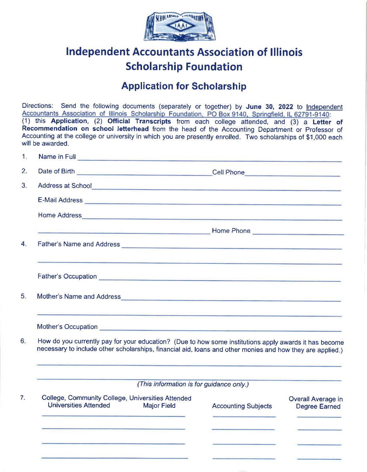

## lndependent Accountants Association of lllinois Scholarship Foundation

## **Application for Scholarship**

Directions: Send the following documents (separately or together) by June 30, 2022 to Independent Accountants Association of Illinois Scholarship Foundation, PO Box 9140, Springfield, IL 62791-9140:  $(1)$  this Application,  $(2)$  Official Transcripts from each college attended, and  $(3)$  a Letter of Recommendation on school letterhead from the head of the Accounting Department or Professor of Accounting at the college or university in which you are presently enrolled. Two scholarships of \$1,000 each will be awarded. 1. Name in Full

| 2.             |                                                                                                                                                                                                                                                                                                                                                        |                                                                           |                                                                        |  |
|----------------|--------------------------------------------------------------------------------------------------------------------------------------------------------------------------------------------------------------------------------------------------------------------------------------------------------------------------------------------------------|---------------------------------------------------------------------------|------------------------------------------------------------------------|--|
| 3 <sub>1</sub> |                                                                                                                                                                                                                                                                                                                                                        |                                                                           |                                                                        |  |
|                | E-Mail Address <b>Commission Commission Commission Commission Commission Commission</b>                                                                                                                                                                                                                                                                |                                                                           |                                                                        |  |
|                |                                                                                                                                                                                                                                                                                                                                                        |                                                                           |                                                                        |  |
|                |                                                                                                                                                                                                                                                                                                                                                        |                                                                           |                                                                        |  |
| 4.             | <u> 1989 - Jan Samuel Barbara, marka a shekara ta 1989 - An tsara tsara tsara tsara tsara tsara tsara tsara tsara </u>                                                                                                                                                                                                                                 |                                                                           |                                                                        |  |
|                |                                                                                                                                                                                                                                                                                                                                                        |                                                                           |                                                                        |  |
| 5.             |                                                                                                                                                                                                                                                                                                                                                        |                                                                           |                                                                        |  |
|                | <u> Andreas de la companyation de la companyation de la companyation de la companyation de la companyation de la</u><br>Mother's Occupation entertainment of the state of the state of the state of the state of the state of the state of the state of the state of the state of the state of the state of the state of the state of the state of the |                                                                           |                                                                        |  |
|                | How do you currently pay for your education? (Due to how some institutions apply awards it has become<br>necessary to include other scholarships, financial aid, loans and other monies and how they are applied.)                                                                                                                                     |                                                                           |                                                                        |  |
|                | (This information is for guidance only.)                                                                                                                                                                                                                                                                                                               |                                                                           |                                                                        |  |
|                | College, Community College, Universities Attended<br><b>Universities Attended</b><br><b>Major Field</b>                                                                                                                                                                                                                                                | <b>Accounting Subjects</b><br>the company's company's company's company's | <b>Overall Average in</b><br><b>Degree Earned</b><br><b>CONTRACTOR</b> |  |
|                | <u> Albanya (Albanya Albanya)</u>                                                                                                                                                                                                                                                                                                                      |                                                                           |                                                                        |  |
|                |                                                                                                                                                                                                                                                                                                                                                        |                                                                           |                                                                        |  |
|                |                                                                                                                                                                                                                                                                                                                                                        |                                                                           |                                                                        |  |